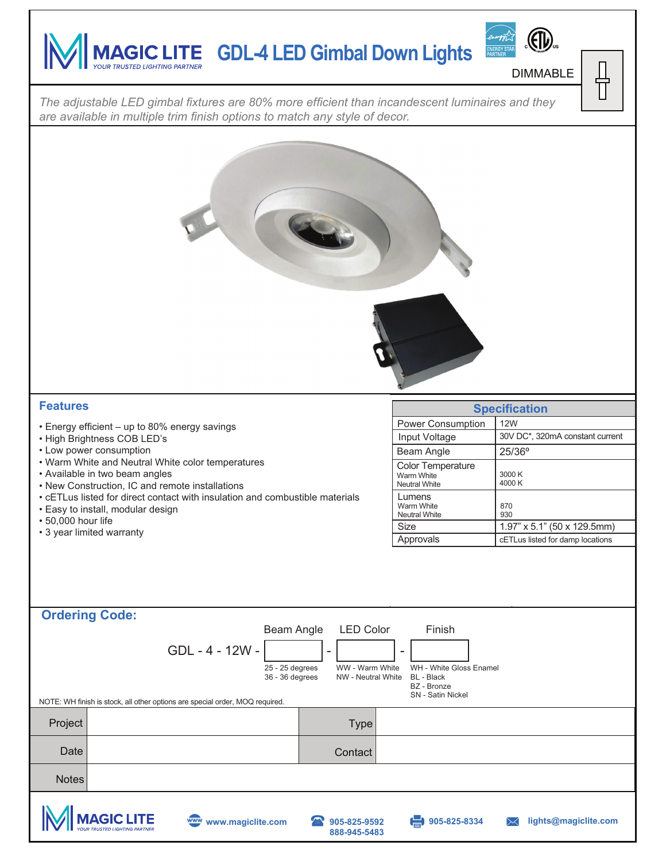**MAGIC LITE** 

## **GDL-4 LED Gimbal Down Lights**



DIMMABLE

*The adjustable LED gimbal fixtures are 80% more efficient than incandescent luminaires and they are available in multiple trim finish options to match any style of decor.*





## **Features**

- Energy efficient up to 80% energy savings
- High Brightness COB LED's
- Low power consumption
- Warm White and Neutral White color temperatures
- Available in two beam angles
- New Construction, IC and remote installations
- cETLus listed for direct contact with insulation and combustible materials
- Easy to install, modular design
- 50,000 hour life
- 3 year limited warranty

| <b>Specification</b>                                           |                                  |  |  |
|----------------------------------------------------------------|----------------------------------|--|--|
| <b>Power Consumption</b>                                       | <b>12W</b>                       |  |  |
| Input Voltage                                                  | 30V DC*, 320mA constant current  |  |  |
| Beam Angle                                                     | $25/36^{\circ}$                  |  |  |
| <b>Color Temperature</b><br>Warm White<br><b>Neutral White</b> | 3000 K<br>4000 K                 |  |  |
| Lumens<br>Warm White<br><b>Neutral White</b>                   | 870<br>930                       |  |  |
| <b>Size</b>                                                    | $1.97$ " x 5.1" (50 x 129.5mm)   |  |  |
| Approvals                                                      | cETLus listed for damp locations |  |  |

|              | <b>Ordering Code:</b>                                                            |                                                                   |                                                           |  |
|--------------|----------------------------------------------------------------------------------|-------------------------------------------------------------------|-----------------------------------------------------------|--|
|              | Beam Angle                                                                       | <b>LED Color</b>                                                  | Finish                                                    |  |
|              | GDL - 4 - 12W -<br>25 - 25 degrees<br>36 - 36 degrees                            | $\overline{\phantom{a}}$<br>WW - Warm White<br>NW - Neutral White | ۰<br>WH - White Gloss Enamel<br>BL - Black<br>BZ - Bronze |  |
|              | NOTE: WH finish is stock, all other options are special order, MOQ required.     |                                                                   | SN - Satin Nickel                                         |  |
| Project      |                                                                                  | <b>Type</b>                                                       |                                                           |  |
| Date         |                                                                                  | Contact                                                           |                                                           |  |
| <b>Notes</b> |                                                                                  |                                                                   |                                                           |  |
|              | <b>JAGIC LITE</b><br>www<br>www.magiclite.com<br><b>TRUSTED LIGHTING PARTNER</b> | 小<br>905-825-9592<br>888-945-5483                                 | 13 905-825-8334<br>lights@magiclite.com<br>$\bowtie$      |  |